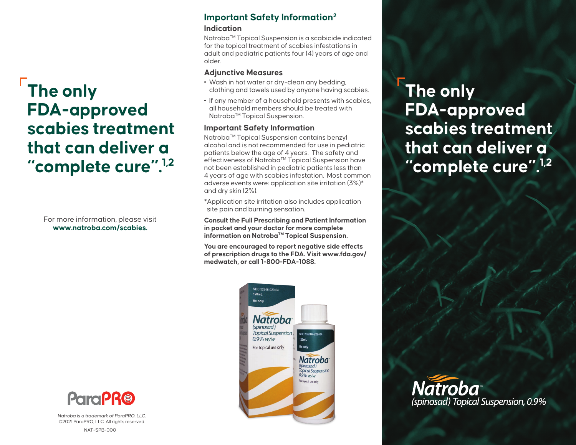# **The only FDA-approved scabies treatment that can deliver a "complete cure".1,2**

For more information, please visit **www.natroba.com/scabies.**



Natroba is a trademark of ParaPRO, LLC. ©2021 ParaPRO, LLC. All rights reserved.

#### NAT-SPB-000

## **Important Safety Information2 Indication**

Natroba™ Topical Suspension is a scabicide indicated for the topical treatment of scabies infestations in adult and pediatric patients four (4) years of age and older.

#### **Adjunctive Measures**

- **•** Wash in hot water or dry-clean any bedding, clothing and towels used by anyone having scabies.
- **•** If any member of a household presents with scabies, all household members should be treated with Natroba™ Topical Suspension.

### **Important Safety Information**

Natroba™ Topical Suspension contains benzyl alcohol and is not recommended for use in pediatric patients below the age of 4 years. The safety and effectiveness of Natroba™ Topical Suspension have not been established in pediatric patients less than 4 years of age with scabies infestation. Most common adverse events were: application site irritation (3%)\* and dry skin (2%).

\*Application site irritation also includes application site pain and burning sensation.

**Consult the Full Prescribing and Patient Information in pocket and your doctor for more complete information on NatrobaTM Topical Suspension.**

**You are encouraged to report negative side effects of prescription drugs to the FDA. Visit www.fda.gov/ medwatch, or call 1-800-FDA-1088.**



**The only FDA-approved scabies treatment that can deliver a "complete cure".1,2**